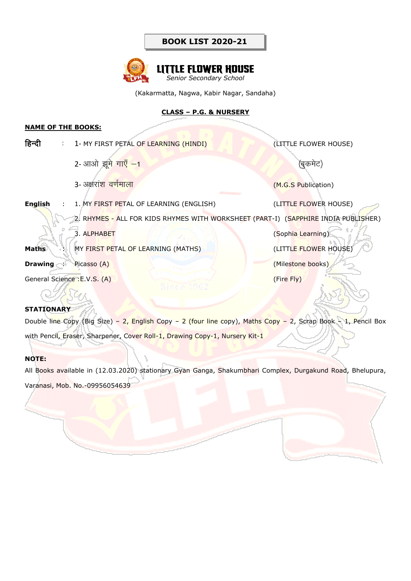

(Kakarmatta, Nagwa, Kabir Nagar, Sandaha)

**CLASS – P.G. & NURSERY**

#### **NAME OF THE BOOKS:**

| हिन्दी         | : 1- MY FIRST PETAL OF LEARNING (HINDI)                                            | (LITTLE FLOWER HOUSE) |
|----------------|------------------------------------------------------------------------------------|-----------------------|
|                | 2- आओ झूमे गाएँ -1                                                                 | (बुकमेट)              |
|                | 3- अक्षरांश वर्णमाला                                                               | (M.G.S Publication)   |
| <b>English</b> | : 1. MY FIRST PETAL OF LEARNING (ENGLISH)                                          | (LITTLE FLOWER HOUSE) |
|                | 2. RHYMES - ALL FOR KIDS RHYMES WITH WORKSHEET (PART-I) (SAPPHIRE INDIA PUBLISHER) |                       |
|                | 3. ALPHABET                                                                        | (Sophia Learning)     |
| <b>Maths</b>   | : MY FIRST PETAL OF LEARNING (MATHS)                                               | (LITTLE FLOWER HOUSE) |
| Drawing :      | Picasso (A)                                                                        | (Milestone books)     |
|                | General Science: E.V.S. (A)                                                        | (Fire Fly)            |
|                |                                                                                    |                       |

#### **STATIONARY**

Double line Copy (Big Size) – 2, English Copy – 2 (four line copy), Maths Copy – 2, Scrap Book – 1, Pencil Box with Pencil, Eraser, Sharpener, Cover Roll-1, Drawing Copy-1, Nursery Kit-1

#### **NOTE:**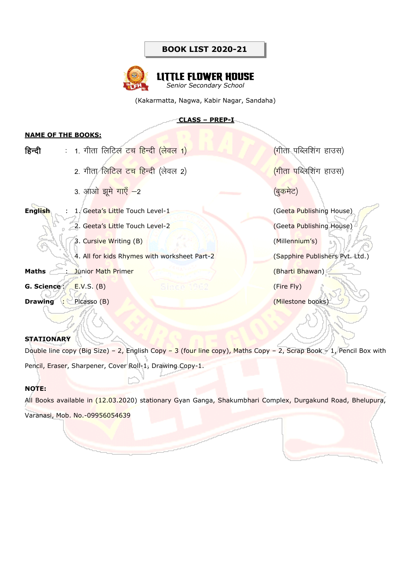

(Kakarmatta, Nagwa, Kabir Nagar, Sandaha)

#### **CLASS – PREP-I**

#### **NAME OF THE BOOKS:**

| हिन्दी         | <u>: 1. गीता लिटिल टच हिन्दी (लेवल 1)</u>    | (गीता पब्लिशिंग हाउस)               |
|----------------|----------------------------------------------|-------------------------------------|
|                | 2. गीता लिटिल टच हिन्दी (लेवल 2)             | <mark>(गीता प</mark> ब्लिशिंग हाउस) |
|                | 3. आओ झूमे गाएँ -2                           | (बुकमेट)                            |
| <b>English</b> | 1. Geeta's Little Touch Level-1              | (Geeta Publishing House)            |
|                | 2. Geeta's Little Touch Level-2              | (Geeta Publishing House)            |
|                | 3. Cursive Writing (B)                       | (Millennium's)                      |
|                | 4. All for kids Rhymes with worksheet Part-2 | (Sapphire Publishers Pvt. Ltd.)     |
| Maths          | : Junior Math Primer                         | (Bharti Bhawan)                     |
| G. Science:    | E.V.S. (B)<br>Sincoli                        | (Fire Fly)                          |
| Drawing :      | Picasso (B)                                  | (Milestone books)                   |

#### **STATIONARY**

Double line copy (Big Size) – 2, English Copy – 3 (four line copy), Maths Copy – 2, Scrap Book – 1, Pencil Box with Pencil, Eraser, Sharpener, Cover Roll-1, Drawing Copy-1.

#### **NOTE:**

All Books available in (12.03.2020) stationary Gyan Ganga, Shakumbhari Complex, Durgakund Road, Bhelupura,

Varanasi, Mob. No.-09956054639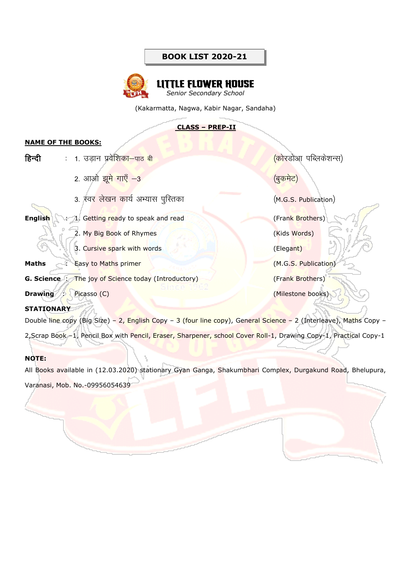

(Kakarmatta, Nagwa, Kabir Nagar, Sandaha)

#### **CLASS – PREP-II**

#### **NAME OF THE BOOKS:**

| हिन्दी         | :   1.  उड़ान  प्रवेशिका—पाठ  बी                            | <mark>(को</mark> रडोआ पब्लिकेशन्स) |
|----------------|-------------------------------------------------------------|------------------------------------|
|                | 2. आओ झू <mark>मे गाएँ −3</mark>                            | <u>(बुकमेट)</u>                    |
|                | 3. स्वर लेखन कार्य अभ्यास पुस्तिका                          | (M.G.S. Publication)               |
| <b>English</b> | : 1. Getting ready to speak and read                        | (Frank Brothers)                   |
|                | 2. My Big Book of Rhymes                                    | (Kids Words)                       |
|                | 3. Cursive spark with words                                 | (Elegant)                          |
| <b>Maths</b>   | : Easy to Maths primer                                      | (M.G.S. Publication)               |
|                | <b>G. Science</b> : The joy of Science today (Introductory) | (Frank Brothers)                   |
| <b>Drawing</b> | Picasso (C)                                                 | (Milestone books)                  |

#### **STATIONARY**

Double line copy (Big Size) – 2, English Copy – 3 (four line copy), General Science – 2 (Interleave), Maths Copy –

2, Scrap Book -1, Pencil Box with Pencil, Eraser, Sharpener, school Cover Roll-1, Drawing Copy-1, Practical Copy-1

### **NOTE:**

All Books available in (12.03.2020) stationary Gyan Ganga, Shakumbhari Complex, Durgakund Road, Bhelupura,

Varanasi, Mob. No.-09956054639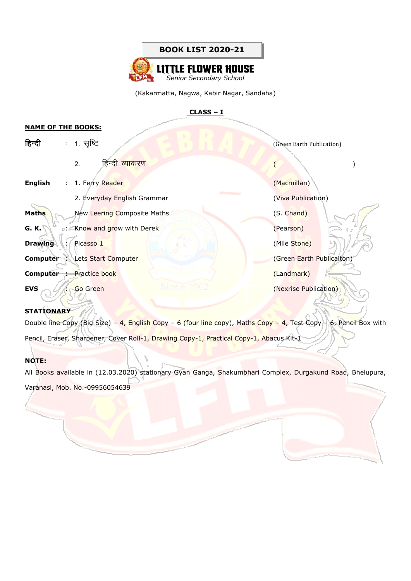

(Kakarmatta, Nagwa, Kabir Nagar, Sandaha)

#### **CLASS – I**

#### **NAME OF THE BOOKS:**

| हिन्दी         |    | : 1. सृष्टि                           | (Green Earth Publication) |  |
|----------------|----|---------------------------------------|---------------------------|--|
|                |    | हिन्दी व् <mark>याक</mark> रण<br>2.   |                           |  |
| <b>English</b> |    | : 1. Ferry Reader                     | (Macmillan)               |  |
|                |    | 2. Everyday English Grammar           | (Viva Publication)        |  |
| Maths          |    | New Leering Composite Maths           | (S. Chand)                |  |
| G. K.          |    | : Know and grow with Derek            | (Pearson)                 |  |
| <b>Drawing</b> | t. | Picasso 1                             | (Mile Stone)              |  |
|                |    | <b>Computer : Lets Start Computer</b> | (Green Earth Publicaiton) |  |
|                |    | <b>Computer : Practice book</b>       | (Landmark)                |  |
| <b>EVS</b>     |    | Go Green                              | (Nexrise Publication)     |  |

#### **STATIONARY**

Double line Copy (Big Size) – 4, English Copy – 6 (four line copy), Maths Copy – 4, Test Copy – 6, Pencil Box with Pencil, Eraser, Sharpener, Cover Roll-1, Drawing Copy-1, Practical Copy-1, Abacus Kit-1

#### **NOTE:**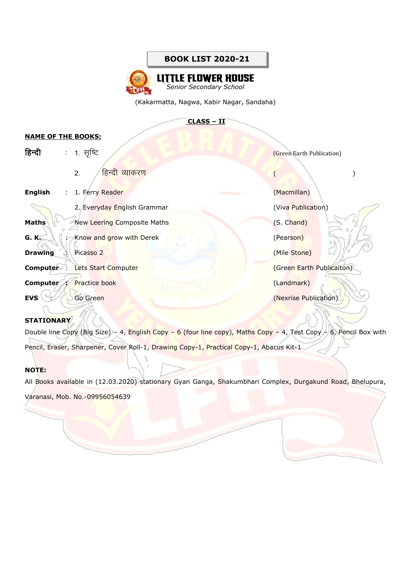## **LITTLE FLOWER HOUSE**

*Senior Secondary School*

(Kakarmatta, Nagwa, Kabir Nagar, Sandaha)

## **CLASS – II**

#### **NAME OF THE BOOKS:**

| हिन्दी          | : 1. सृष्टि                              | (Green Earth Publication) |
|-----------------|------------------------------------------|---------------------------|
|                 | हिन्दी व्याकरण<br>2.                     |                           |
| <b>English</b>  | : 1. Ferry Reader                        | (Macmillan)               |
|                 | 2. Everyday English Grammar              | (Viva Publication)        |
| <b>Maths</b>    | <b>New Leering Composite Maths</b>       | (S. Chand)                |
| <b>G. K.</b>    | : Know and grow with Derek               | (Pearson)                 |
| <b>Drawing</b>  | : Picasso 2                              | (Mile Stone)              |
|                 | <b>Computer : Lets Start Computer</b>    | (Green Earth Publicaiton) |
|                 | <b>Computer : Practice book</b><br>Sinon | (Landmark)                |
| <b>EVS</b><br>÷ | Go Green                                 | (Nexrise Publication)     |
|                 |                                          |                           |

#### **STATIONARY**

Double line Copy (Big Size) – 4, English Copy – 6 (four line copy), Maths Copy – 4, Test Copy – 6, Pencil Box with Pencil, Eraser, Sharpener, Cover Roll-1, Drawing Copy-1, Practical Copy-1, Abacus Kit-1

#### **NOTE:**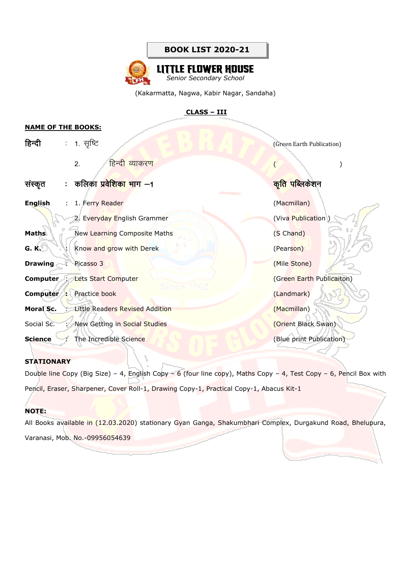

(Kakarmatta, Nagwa, Kabir Nagar, Sandaha)

#### **CLASS – III**

#### **NAME OF THE BOOKS:**

| हिन्दी         | $\ddot{\phantom{a}}$ | 1. सृष्टि                              | (Green Earth Publication)   |
|----------------|----------------------|----------------------------------------|-----------------------------|
|                |                      | हिन्द <mark>ी व्या</mark> करण<br>2.    |                             |
| सस्कृत         |                      | : कलिका प्रवे <mark>शिका भाग</mark> —1 | <mark>कृति पब्लिकेशन</mark> |
| <b>English</b> | ÷.                   | 1. Ferry Reader                        | (Macmillan)                 |
|                |                      | 2. Everyday English Grammer            | (Viva Publication)          |
| <b>Maths</b>   |                      | New Learning Composite Maths           | (S Chand)                   |
| G. K.          | $\mathcal{L}$        | Know and grow with Derek               | (Pearson)                   |
| <b>Drawing</b> |                      | Picasso 3                              | (Mile Stone)                |
|                |                      | <b>Computer : Lets Start Computer</b>  | (Green Earth Publicaiton)   |
| Computer :     |                      | Since<br>Practice book                 | (Landmark)                  |
| Moral Sc.      |                      | Little Readers Revised Addition        | (Macmillan)                 |
| Social Sc.     |                      | New Getting in Social Studies          | (Orient Black Swan)         |
| <b>Science</b> |                      | The Incredible Science                 | (Blue print Publication)    |
|                |                      |                                        |                             |

#### **STATIONARY**

Double line Copy (Big Size) – 4, English Copy – 6 (four line copy), Maths Copy – 4, Test Copy – 6, Pencil Box with Pencil, Eraser, Sharpener, Cover Roll-1, Drawing Copy-1, Practical Copy-1, Abacus Kit-1

#### **NOTE:**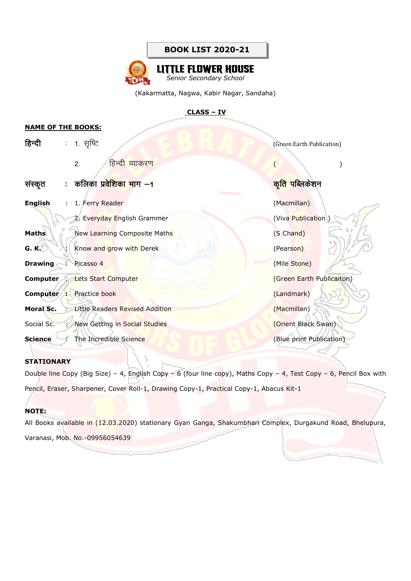

## **LITTLE FLOWER HOUSE** *Senior Secondary School*

(Kakarmatta, Nagwa, Kabir Nagar, Sandaha)

#### **CLASS – IV**

#### **NAME OF THE BOOKS:**

| हिन्दी         | $\mathcal{L}_{\mathcal{A}}$ | 1. सृष्टि                                | (Green Earth Publication)     |
|----------------|-----------------------------|------------------------------------------|-------------------------------|
|                |                             | हिन्द <mark>ी व्या</mark> करण<br>2.      |                               |
| सस्कृत         |                             | : कलिका प्रवेशिका भाग —1                 | क <mark>ृति पब्लि</mark> केशन |
| <b>English</b> | ÷.                          | 1. Ferry Reader                          | (Macmillan)                   |
|                |                             | 2. Everyday English Grammer              | (Viva Publication)            |
| <b>Maths</b>   |                             | New Learning Composite Maths             | (S Chand)                     |
| G. K.          |                             | : Know and grow with Derek               | (Pearson)                     |
| <b>Drawing</b> | ÷                           | Picasso 4                                | (Mile Stone)                  |
|                |                             | <b>Computer : Lets Start Computer</b>    | (Green Earth Publicaiton)     |
|                |                             | a mar<br><b>Computer :</b> Practice book | (Landmark)                    |
| Moral Sc.      |                             | Little Readers Revised Addition          | (Macmillan)                   |
| Social Sc.     | t d                         | New Getting in Social Studies            | (Orient Black Swan)           |
| <b>Science</b> |                             | The Incredible Science                   | (Blue print Publication)      |
|                |                             |                                          |                               |

#### **STATIONARY**

Double line Copy (Big Size) – 4, English Copy – 6 (four line copy), Maths Copy – 4, Test Copy – 6, Pencil Box with Pencil, Eraser, Sharpener, Cover Roll-1, Drawing Copy-1, Practical Copy-1, Abacus Kit-1

#### **NOTE:**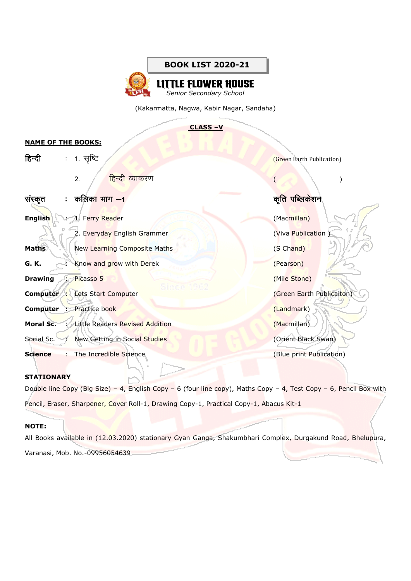**LE FLOWER HOUSE** *Senior Secondary School*

(Kakarmatta, Nagwa, Kabir Nagar, Sandaha)

**CLASS –V**

#### **NAME OF THE BOOKS:**

| हिन्दी         | ÷.                   | 1. सृष्टि                                        | (Green Earth Publication) |
|----------------|----------------------|--------------------------------------------------|---------------------------|
|                |                      | <mark>हिन्दी व्याकर</mark> ण<br>2.               |                           |
| सस्कृत         | $\ddot{\phantom{a}}$ | कलिका भाग —1                                     | <u>कृति पब्लिकेशन</u>     |
| <b>English</b> | $\mathcal{L}$        | 1. Ferry Reader                                  | (Macmillan)               |
|                |                      | 2. Everyday English Grammer                      | (Viva Publication)        |
| <b>Maths</b>   |                      | New Learning Composite Maths                     | (S Chand)                 |
| G. K.          |                      | : Know and grow with Derek                       | (Pearson)                 |
| <b>Drawing</b> | ÷.                   | Picasso 5                                        | (Mile Stone)              |
|                |                      | Since "<br><b>Computer : Lets Start Computer</b> | (Green Earth Publicaiton) |
|                |                      | <b>Computer : Practice book</b>                  | (Landmark)                |
| Moral Sc.      | - 2                  | Little Readers Revised Addition                  | (Macmillan)               |
|                |                      | Social Sc. : New Getting in Social Studies       | (Orient Black Swan)       |
| <b>Science</b> |                      | The Incredible Science                           | (Blue print Publication)  |

#### **STATIONARY**

Double line Copy (Big Size) - 4, English Copy - 6 (four line copy), Maths Copy - 4, Test Copy - 6, Pencil Box with Pencil, Eraser, Sharpener, Cover Roll-1, Drawing Copy-1, Practical Copy-1, Abacus Kit-1

#### **NOTE:**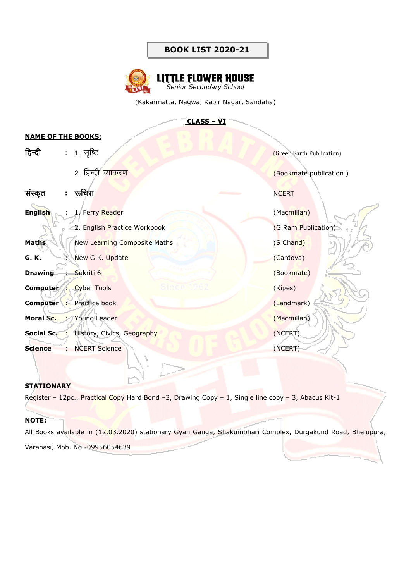

(Kakarmatta, Nagwa, Kabir Nagar, Sandaha)

#### **CLASS – VI**

| <u>NAME UF THE BUURS:</u> |                |                                                |                           |
|---------------------------|----------------|------------------------------------------------|---------------------------|
| हिन्दी                    |                | : 1. सृष्टि                                    | (Green Earth Publication) |
|                           |                | 2. हिन्दी व्याकरण                              | (Bookmate publication)    |
| संस्कृत                   | $\mathbb{Z}^n$ | रूचिरा<br><u> De Carlos de Ca</u>              | <b>NCERT</b>              |
| English                   | $\mathbb{R}^n$ | 1. Ferry Reader                                | (Macmillan)               |
|                           |                | 2. English Practice Workbook                   | (G Ram Publication)       |
| <b>Maths</b>              |                | New Learning Composite Maths                   | (S Chand)                 |
| G. K.                     |                | : New G.K. Update                              | (Cardova)                 |
| <b>Drawing</b>            | ÷              | Sukriti 6                                      | (Bookmate)                |
| Computer :                |                | Since 1982<br><b>Cyber Tools</b>               | (Kipes)                   |
|                           |                | <b>Computer :</b> Practice book                | (Landmark)                |
|                           |                | Moral Sc. : Young Leader                       | (Macmillan)               |
|                           |                | <b>Social Sc. : History, Civics, Geography</b> | (NCERT)                   |
| <b>Science</b>            | <b>College</b> | <b>NCERT Science</b>                           | (NCERT)                   |

#### **STATIONARY**

**NAME OF THE BOOKS:**

Register - 12pc., Practical Copy Hard Bond -3, Drawing Copy - 1, Single line copy - 3, Abacus Kit-1

#### **NOTE:**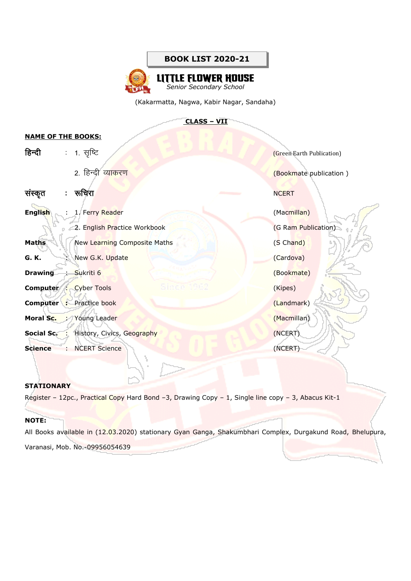## **LITTLE FLOWER HOUSE**

*Senior Secondary School*

(Kakarmatta, Nagwa, Kabir Nagar, Sandaha)

#### **CLASS – VII**

| <b>NAME OF THE BOOKS:</b> |   |                                                                                                                                                                                                                                                  |                           |
|---------------------------|---|--------------------------------------------------------------------------------------------------------------------------------------------------------------------------------------------------------------------------------------------------|---------------------------|
| हिन्दी                    |   | : 1. सृष्टि                                                                                                                                                                                                                                      | (Green Earth Publication) |
|                           |   | 2. हिन्दी व्याकरण                                                                                                                                                                                                                                | (Bookmate publication)    |
| संस्कृत                   |   | : रूचिरा<br><u> The Common Service of the Common Service of the Common Service of the Common Service of the Common Service of the Common Service of the Common Service of the Common Service of the Common Service of the Common Service of </u> | <b>NCERT</b>              |
| <b>English</b>            |   | 1. Ferry Reader                                                                                                                                                                                                                                  | (Macmillan)               |
|                           |   | 2. English Practice Workbook                                                                                                                                                                                                                     | (G Ram Publication)       |
| <b>Maths</b>              |   | New Learning Composite Maths                                                                                                                                                                                                                     | (S Chand)                 |
| G. K.                     |   | : New G.K. Update                                                                                                                                                                                                                                | (Cardova)                 |
| <b>Drawing</b>            | ÷ | Sukriti 6                                                                                                                                                                                                                                        | (Bookmate)                |
|                           |   | Since 1962<br><b>Computer : Cyber Tools</b>                                                                                                                                                                                                      | (Kipes)                   |
|                           |   | <b>Computer :</b> Practice book                                                                                                                                                                                                                  | (Landmark)                |
|                           |   | Moral Sc. : Young Leader                                                                                                                                                                                                                         | (Macmillan)               |
|                           |   | <b>Social Sc. : History, Civics, Geography</b>                                                                                                                                                                                                   | (NCERT)                   |
| <b>Science</b>            |   | : NCERT Science                                                                                                                                                                                                                                  | (NCERT)                   |

#### **STATIONARY**

Register – 12pc., Practical Copy Hard Bond -3, Drawing Copy – 1, Single line copy – 3, Abacus Kit-1

#### **NOTE:**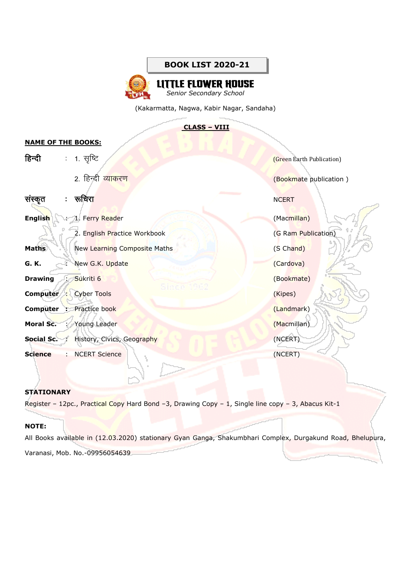**LITTLE FLOWER HOUSE** *Senior Secondary School*

(Kakarmatta, Nagwa, Kabir Nagar, Sandaha)

#### **CLASS – VIII**

# **NAME OF THE BOOKS:** हिन्दी : 1. सृष्टि  $\mathbb{R}$  (Green Earth Publication) 2. हिन्दी व्याकरण सामान प्राप्त करता है। संस्कृतिक प्राप्त करता है। अन्य प्राप्त करता है। अन्य प्राप्त करता है संस्कृत : रूचिरा संस्कृत : रूचिरा संस्कृत : संस्कृत : संस्कृत : संस्कृत : संस्कृत : संस्कृत : संस्कृत : संस्कृ **English** : 1. Ferry Reader (Macmillan) 2. English Practice Workbook (G Ram Publication) **Maths** New Learning Composite Maths **New Strategie Waths** (S Chand) **G. K.** : New G.K. Update (Cardova) **Drawing** : Sukriti 6 (Bookmate) **Computer** : Cyber Tools **Computer** : Cyber Tools **Computer** : Cyber Tools **Computer** (Kipes) **Computer :** Practice book (Landmark) (Landmark) **Moral Sc.** : Young Leader (Macmillan) **Social Sc.** : History, Civics, Geography (NCERT) **Science** : NCERT Science (NCERT)

#### **STATIONARY**

Register - 12pc., Practical Copy Hard Bond -3, Drawing Copy - 1, Single line copy - 3, Abacus Kit-1

#### **NOTE:**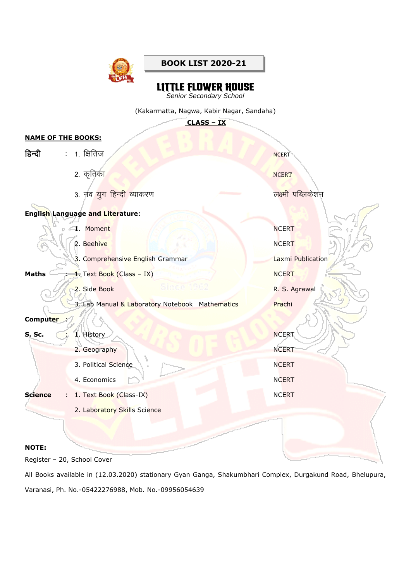

# **LITTLE FLOWER HOUSE**<br>*Senior Secondary School*

(Kakarmatta, Nagwa, Kabir Nagar, Sandaha)

**CLASS – IX**

#### **NAME OF THE BOOKS:**

| हिन्दी                         | : 1. क्षितिज                                    | <b>NCERT</b>      |
|--------------------------------|-------------------------------------------------|-------------------|
|                                | 2. कृतिक <mark>ा</mark>                         | <b>NCERT</b>      |
|                                | 3. नव युग हिन्दी व्याकरण                        | लक्ष्मी पब्लिकेशन |
|                                | <b>English Language and Literature:</b>         |                   |
|                                | 1. Moment                                       | <b>NCERT</b>      |
|                                | 2. Beehive                                      | <b>NCERT</b>      |
|                                | 3. Comprehensive English Grammar                | Laxmi Publication |
| <b>Maths</b>                   | 1. Text Book (Class - IX)                       | <b>NCERT</b>      |
|                                | Since 1262<br>2. Side Book                      | R. S. Agrawal     |
|                                | 3. Lab Manual & Laboratory Notebook Mathematics | Prachi            |
| Computer :                     |                                                 |                   |
| <b>S. Sc.</b><br>$\sim$ $\sim$ | 1. History                                      | <b>NCERT</b>      |
|                                | 2. Geography                                    | <b>NCERT</b>      |
|                                | 3. Political Science                            | <b>NCERT</b>      |
|                                | 4. Economics                                    | <b>NCERT</b>      |
| <b>Science</b>                 | 1. Text Book (Class-IX)                         | <b>NCERT</b>      |
|                                | 2. Laboratory Skills Science                    |                   |
|                                |                                                 |                   |
| <b>NOTE:</b>                   |                                                 |                   |

Register – 20, School Cover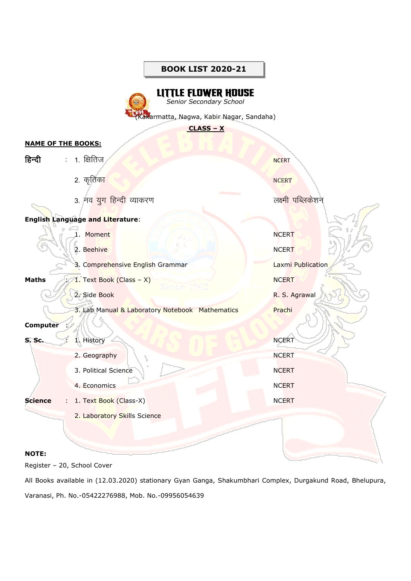## **LITTLE FLOWER HOUSE**

*Senior Secondary School*

akarmatta, Nagwa, Kabir Nagar, Sandaha)

**CLASS – X**

#### **NAME OF THE BOOKS:**

| हिन्दी         | : 1. क्षितिज                                    | <b>NCERT</b>      |
|----------------|-------------------------------------------------|-------------------|
|                | 2. कृतिक <mark>ा</mark>                         | <b>NCERT</b>      |
|                | 3. नव युग हिन्दी व्याकरण                        | लक्ष्मी पब्लिकेशन |
|                | <b>English Language and Literature:</b>         |                   |
|                | 1. Moment                                       | <b>NCERT</b>      |
|                | 2. Beehive                                      | <b>NCERT</b>      |
|                | 3. Comprehensive English Grammar                | Laxmi Publication |
| <b>Maths</b>   | 1. Text Book (Class - X)<br>8inde 1262          | <b>NCERT</b>      |
|                | 2. Side Book                                    | R. S. Agrawal     |
|                | 3. Lab Manual & Laboratory Notebook Mathematics | Prachi            |
| Computer :     |                                                 |                   |
| S. Sc.         | 1. History                                      | <b>NCERT</b>      |
|                | 2. Geography                                    | <b>NCERT</b>      |
|                | 3. Political Science                            | <b>NCERT</b>      |
|                | 4. Economics                                    | <b>NCERT</b>      |
| <b>Science</b> | 1. Text Book (Class-X)<br>÷                     | <b>NCERT</b>      |
|                | 2. Laboratory Skills Science                    |                   |
|                |                                                 |                   |
|                |                                                 |                   |

#### **NOTE:**

Register – 20, School Cover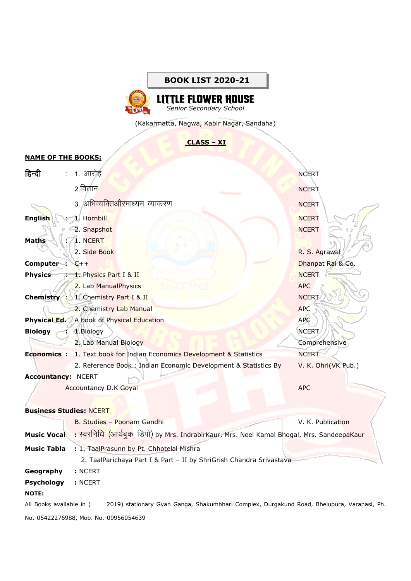

(Kakarmatta, Nagwa, Kabir Nagar, Sandaha)

#### **CLASS – XI**

## **NAME OF THE BOOKS:**

| हिन्दी                                | $\mathcal{L}_{\mathrm{max}}$ | 1. आरोह                                                                                    | <b>NCERT</b>        |  |  |
|---------------------------------------|------------------------------|--------------------------------------------------------------------------------------------|---------------------|--|--|
|                                       |                              | $2.\overline{a}$ तान                                                                       | <b>NCERT</b>        |  |  |
|                                       |                              | 3. अभिव्यक्तिऔरमाध्यम व्याकरण                                                              | <b>NCERT</b>        |  |  |
| <b>English</b>                        | $\mathbb{R}^{\mathbb{Z}}$    | 1. Hornbill                                                                                | <b>NCERT</b>        |  |  |
|                                       |                              | 2. Snapshot                                                                                | <b>NCERT</b>        |  |  |
| <b>Maths</b>                          |                              | 1. NCERT                                                                                   |                     |  |  |
|                                       |                              | 2. Side Book                                                                               | R. S. Agrawal       |  |  |
| Computer : $C++$                      |                              |                                                                                            | Dhanpat Rai & Co.   |  |  |
| <b>Physics</b>                        |                              | 1. Physics Part I & II                                                                     | <b>NCERT</b>        |  |  |
|                                       |                              | 2. Lab ManualPhysics                                                                       | <b>APC</b>          |  |  |
|                                       |                              | <b>Chemistry : 1. Chemistry Part I &amp; II</b>                                            | <b>NCERT</b>        |  |  |
|                                       |                              | 2. Chemistry Lab Manual                                                                    | <b>APC</b>          |  |  |
| <b>Physical Ed.</b>                   |                              | A book of Physical Education                                                               | <b>APC</b>          |  |  |
| <b>Biology</b>                        |                              | 1.Biology                                                                                  | <b>NCERT</b>        |  |  |
|                                       |                              | 2. Lab Manual Biology                                                                      | Comprehensive       |  |  |
|                                       |                              | <b>Economics :</b> 1. Text book for Indian Economics Development & Statistics              | <b>NCERT</b>        |  |  |
|                                       |                              | 2. Reference Book: Indian Economic Development & Statistics By                             | V. K. Ohri(VK Pub.) |  |  |
| <b>Accountancy: NCERT</b>             |                              |                                                                                            |                     |  |  |
|                                       |                              | <b>Accountancy D.K Goyal</b>                                                               | <b>APC</b>          |  |  |
| <b>Business Studies: NCERT</b>        |                              |                                                                                            |                     |  |  |
|                                       |                              | B. Studies - Poonam Gandhi                                                                 | V. K. Publication   |  |  |
| <b>Music Vocal</b>                    |                              | : स्वरनिधि (आर्यबुक) डिपो) by Mrs. IndrabirKaur, Mrs. Neel Kamal Bhogal, Mrs. SandeepaKaur |                     |  |  |
| <b>Music Tabla</b>                    |                              | : 1. TaalPrasunn by Pt. Chhotelal Mishra                                                   |                     |  |  |
|                                       |                              | 2. TaalParichaya Part I & Part - II by ShriGrish Chandra Srivastava                        |                     |  |  |
| Geography                             |                              | : NCERT                                                                                    |                     |  |  |
| <b>Psychology</b>                     |                              | : NCERT                                                                                    |                     |  |  |
| <b>NOTE:</b>                          |                              |                                                                                            |                     |  |  |
| All Books available in (              |                              | 2019) stationary Gyan Ganga, Shakumbhari Complex, Durgakund Road, Bhelupura, Varanasi, Ph. |                     |  |  |
| No.-05422276988, Mob. No.-09956054639 |                              |                                                                                            |                     |  |  |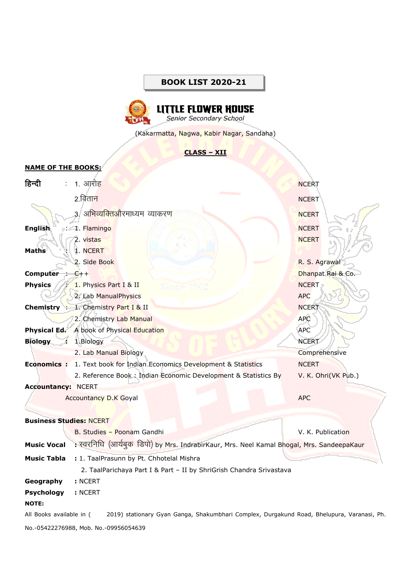

(Kakarmatta, Nagwa, Kabir Nagar, Sandaha)

## **CLASS – XII**

#### **NAME OF THE BOOKS:**

| हिन्दी                         | ÷ | 1. आरोह                                                                                    | <b>NCERT</b>             |  |  |  |
|--------------------------------|---|--------------------------------------------------------------------------------------------|--------------------------|--|--|--|
|                                |   | $2.\overline{d}$ तान                                                                       | <b>NCERT</b>             |  |  |  |
|                                |   | 3. अभिव्यक्तिऔरमाध्यम व्याकरण                                                              | <b>NCERT</b>             |  |  |  |
| <b>English</b>                 |   | : 1. Flamingo                                                                              | <b>NCERT</b>             |  |  |  |
|                                |   | 2. vistas                                                                                  | <b>NCERT</b>             |  |  |  |
| <b>Maths</b>                   | ÷ | 1. NCERT                                                                                   |                          |  |  |  |
|                                |   | 2. Side Book                                                                               | R. S. Agrawal            |  |  |  |
| Computer : $C++$               |   |                                                                                            | Dhanpat Rai & Co.        |  |  |  |
| <b>Physics</b>                 |   | 1. Physics Part I & II                                                                     | <b>NCERT</b>             |  |  |  |
|                                |   | 2. Lab ManualPhysics                                                                       | <b>APC</b>               |  |  |  |
|                                |   | <b>Chemistry</b> : 1. Chemistry Part I & II                                                | <b>NCERT</b>             |  |  |  |
|                                |   |                                                                                            |                          |  |  |  |
|                                |   | 2. Chemistry Lab Manual                                                                    | <b>APC</b><br><b>APC</b> |  |  |  |
| <b>Physical Ed.</b>            |   | A book of Physical Education                                                               |                          |  |  |  |
| <b>Biology</b>                 |   | 1.Biology                                                                                  | <b>NCERT</b>             |  |  |  |
|                                |   | 2. Lab Manual Biology                                                                      | Comprehensive            |  |  |  |
|                                |   | <b>Economics :</b> 1. Text book for Indian Economics Development & Statistics              | <b>NCERT</b>             |  |  |  |
|                                |   | 2. Reference Book: Indian Economic Development & Statistics By                             | V. K. Ohri(VK Pub.)      |  |  |  |
| <b>Accountancy: NCERT</b>      |   |                                                                                            |                          |  |  |  |
|                                |   | <b>Accountancy D.K Goyal</b>                                                               | <b>APC</b>               |  |  |  |
| <b>Business Studies: NCERT</b> |   |                                                                                            |                          |  |  |  |
|                                |   | B. Studies - Poonam Gandhi                                                                 | V. K. Publication        |  |  |  |
| <b>Music Vocal</b>             |   | : स्वरनिधि (आर्यबुक डिपो) by Mrs. IndrabirKaur, Mrs. Neel Kamal Bhogal, Mrs. SandeepaKaur  |                          |  |  |  |
| <b>Music Tabla</b>             |   | : 1. TaalPrasunn by Pt. Chhotelal Mishra                                                   |                          |  |  |  |
|                                |   | 2. TaalParichaya Part I & Part - II by ShriGrish Chandra Srivastava                        |                          |  |  |  |
| Geography                      |   | : NCERT                                                                                    |                          |  |  |  |
| <b>Psychology</b>              |   | : NCERT                                                                                    |                          |  |  |  |
| <b>NOTE:</b>                   |   |                                                                                            |                          |  |  |  |
| All Books available in (       |   | 2019) stationary Gyan Ganga, Shakumbhari Complex, Durgakund Road, Bhelupura, Varanasi, Ph. |                          |  |  |  |
|                                |   | No.-05422276988, Mob. No.-09956054639                                                      |                          |  |  |  |